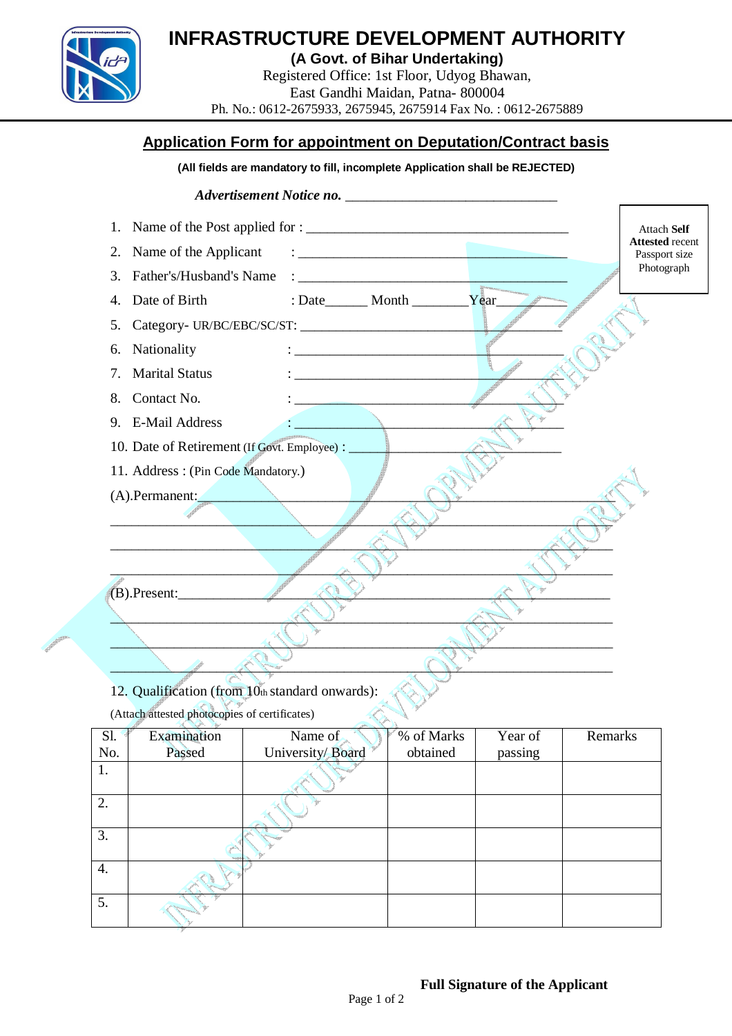

# **INFRASTRUCTURE DEVELOPMENT AUTHORITY**

**(A Govt. of Bihar Undertaking)**

Registered Office: 1st Floor, Udyog Bhawan, East Gandhi Maidan, Patna- 800004 Ph. No.: 0612-2675933, 2675945, 2675914 Fax No. : 0612-2675889

# **Application Form for appointment on Deputation/Contract basis**

#### **(All fields are mandatory to fill, incomplete Application shall be REJECTED)**



(Attach attested photocopies of certificates)

| S1. | <b>Teler</b><br>Examination | Name of          | % of Marks | Year of | Remarks |
|-----|-----------------------------|------------------|------------|---------|---------|
| No. | Passed                      | University/Board | obtained   | passing |         |
| 1.  |                             |                  |            |         |         |
| 2.  |                             |                  |            |         |         |
| 3.  |                             |                  |            |         |         |
| 4.  |                             |                  |            |         |         |
| 5.  |                             |                  |            |         |         |